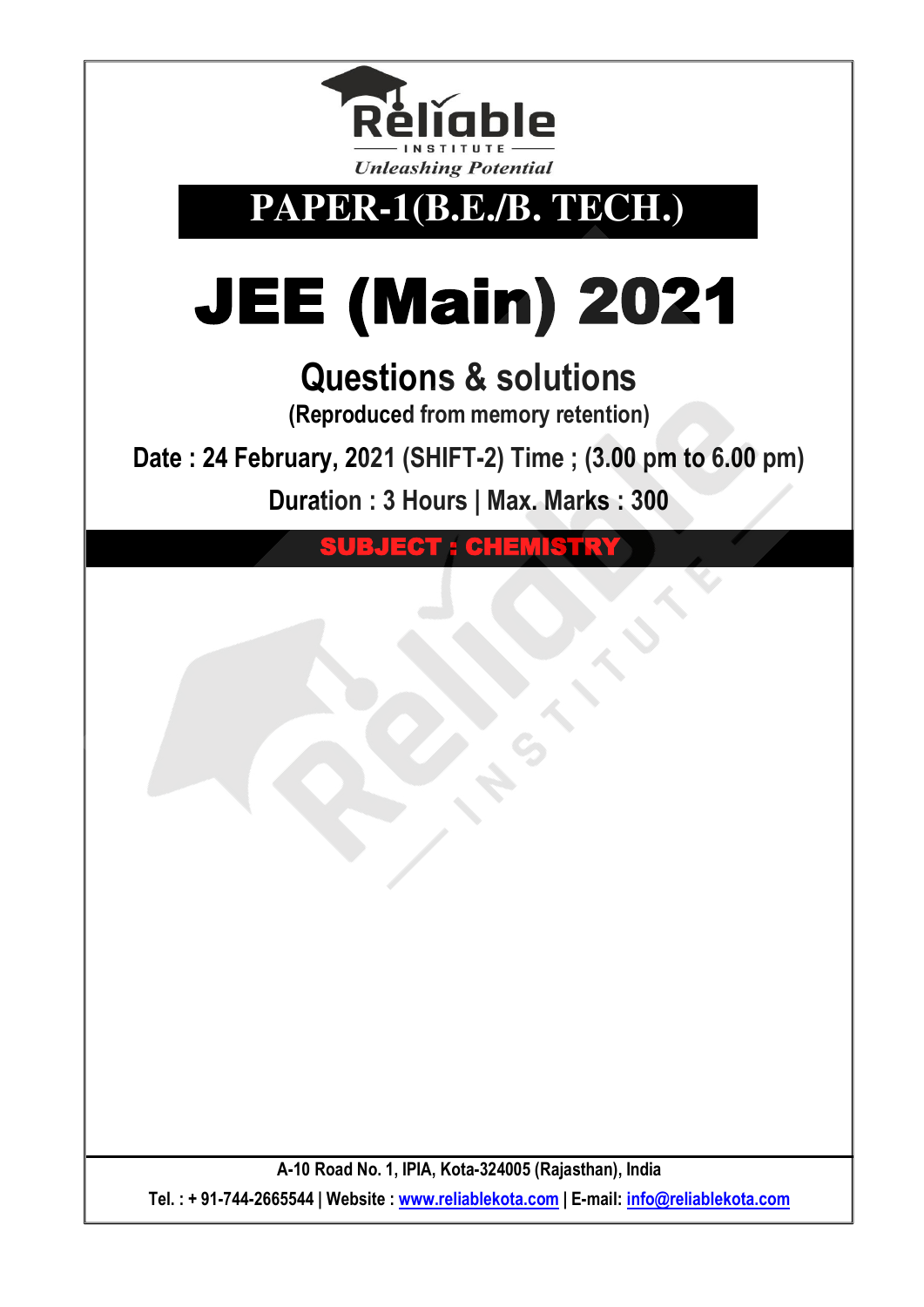

**PAPER-1(B.E./B. TECH.)** 

# JEE (Main) 2021

# **Questions & solutions**

**(Reproduced from memory retention)** 

**Date : 24 February, 2021 (SHIFT-2) Time ; (3.00 pm to 6.00 pm)**

**Duration : 3 Hours | Max. Marks : 300** 

EGT : CHEMISTRY

**A-10 Road No. 1, IPIA, Kota-324005 (Rajasthan), India Tel. : + 91-744-2665544 | Website : www.reliablekota.com | E-mail: info@reliablekota.com**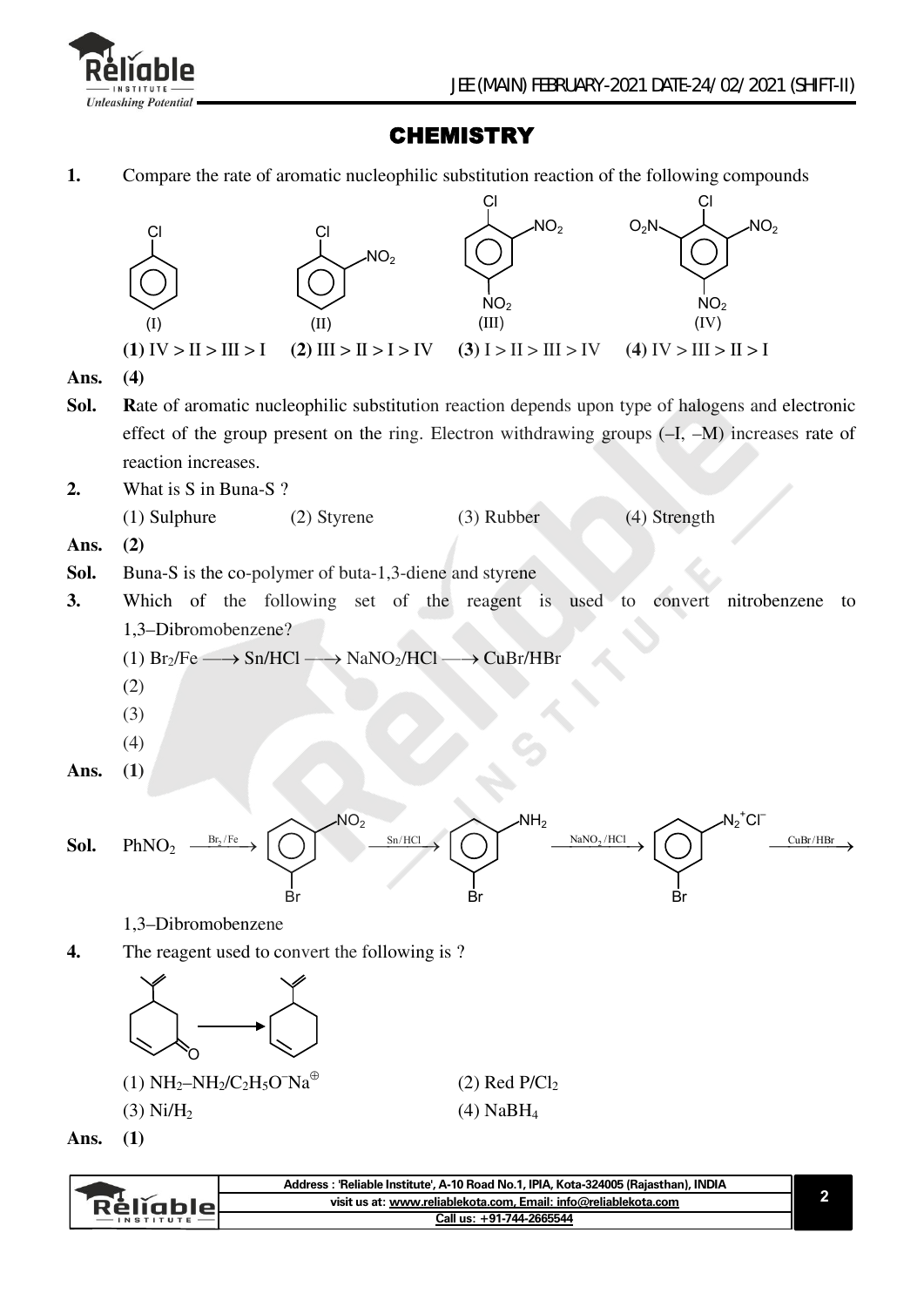

Réliable

### **CHEMISTRY**

**1.** Compare the rate of aromatic nucleophilic substitution reaction of the following compounds



**visit us at: www.reliablekota.com, Email: info@reliablekota.com Call us: +91-744-2665544**

**2**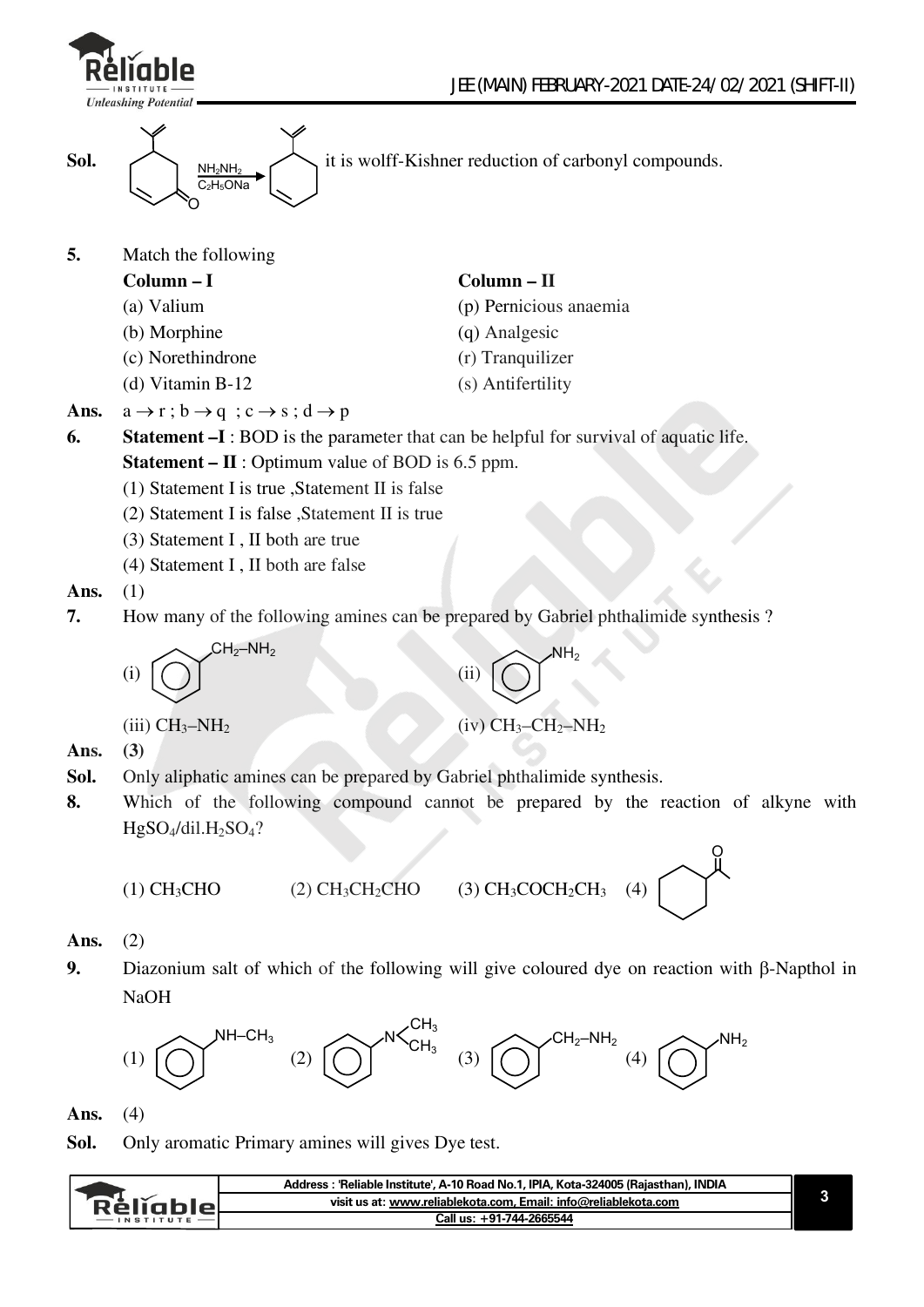



**5.** Match the following

- **Column I Column II**
- 
- (b) Morphine (q) Analgesic
- (c) Norethindrone (r) Tranquilizer
- (d) Vitamin B-12 (s) Antifertility

(a) Valium (p) Pernicious anaemia

- 
- 
- 
- Ans.  $a \rightarrow r$ ;  $b \rightarrow q$ ;  $c \rightarrow s$ ;  $d \rightarrow p$
- **6. Statement –I** : BOD is the parameter that can be helpful for survival of aquatic life. **Statement – II** : Optimum value of BOD is 6.5 ppm.
	- (1) Statement I is true ,Statement II is false
	- (2) Statement I is false ,Statement II is true
	- (3) Statement I , II both are true
	- (4) Statement I , II both are false
- **Ans.** (1)

Ans.

**7.** How many of the following amines can be prepared by Gabriel phthalimide synthesis ?

(i) 
$$
\bigodot
$$
  $CH_2-NH_2$   
\n(ii)  $\bigodot$   $NH_2$   
\n(iii)  $CH_3-NH_2$   
\n(iv)  $CH_3-CH_2-NH_2$   
\n(3)

- **Sol.** Only aliphatic amines can be prepared by Gabriel phthalimide synthesis.
- **8.** Which of the following compound cannot be prepared by the reaction of alkyne with  $HgSO_4/dil.H_2SO_4?$

$$
(1) CH3CHO \t(2) CH3
$$

 $CH_2CHO$  (3)  $CH_3COCH_2CH_3$  (4)

O

#### **Ans.** (2)

**9.** Diazonium salt of which of the following will give coloured dye on reaction with  $\beta$ -Napthol in NaOH



**Ans.** (4)

**Sol.** Only aromatic Primary amines will gives Dye test.

|         | Address : 'Reliable Institute', A-10 Road No.1, IPIA, Kota-324005 (Raiasthan), INDIA |  |
|---------|--------------------------------------------------------------------------------------|--|
| кешапія | visit us at: www.reliablekota.com, Email: info@reliablekota.com                      |  |
|         | Call us: +91-744-2665544                                                             |  |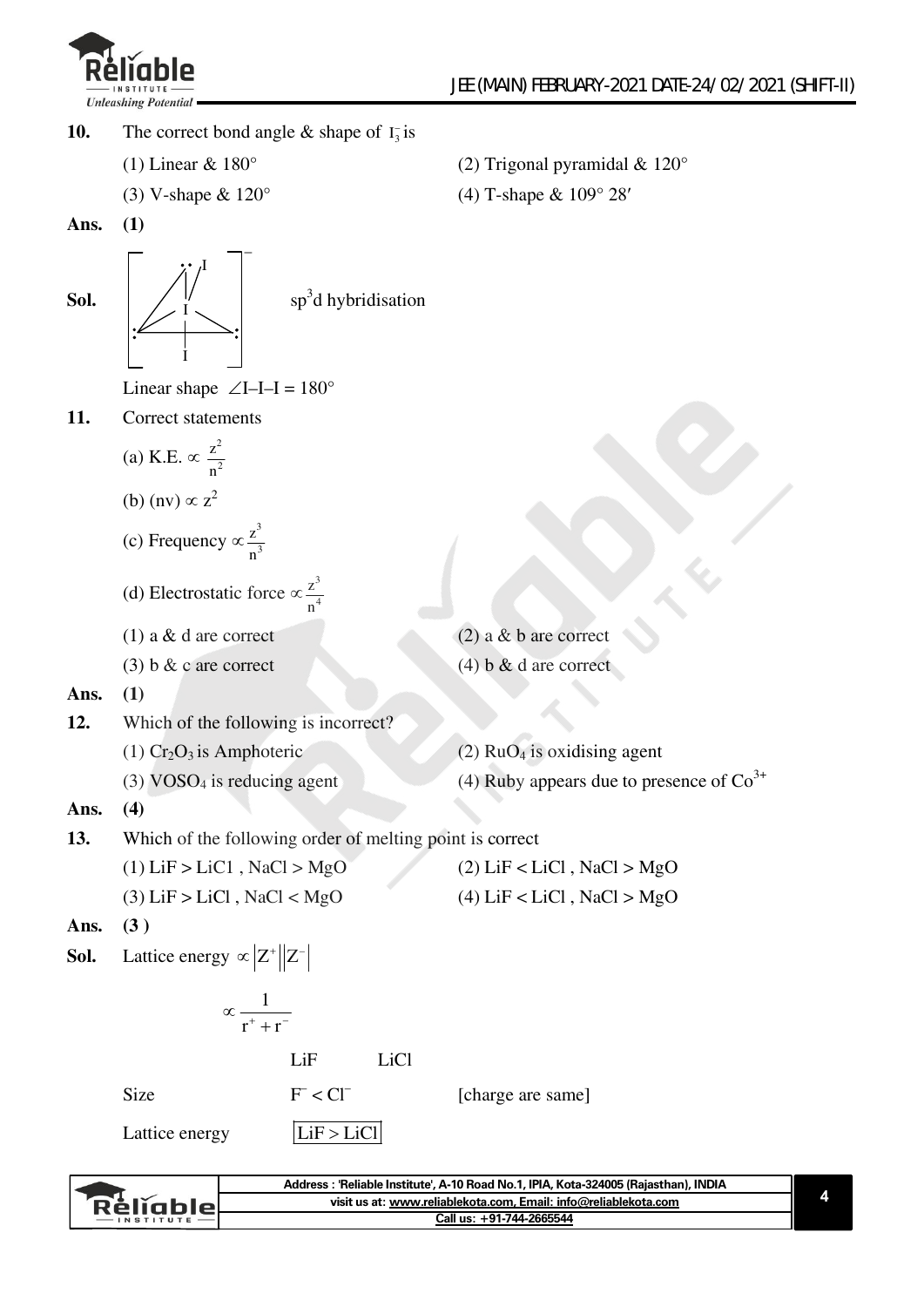

- **10.** The correct bond angle  $\&$  shape of  $I_3^-$  is
	-
	-
	- (1) Linear  $& 180^\circ$  (2) Trigonal pyramidal  $& 120^\circ$
	- (3) V-shape &  $120^{\circ}$  (4) T-shape &  $109^{\circ} 28'$
- **Ans. (1)**

Sol. I I – sp<sup>3</sup>d hybridisation

Linear shape  $\angle I$ –I–I = 180°

**11.** Correct statements

(a) K.E. 
$$
\propto \frac{z^2}{n^2}
$$

- (b) (nv)  $\propto z^2$
- (c) Frequency  $\propto \frac{z^3}{4}$ 3 z n
- (d) Electrostatic force  $\propto \frac{z^3}{4}$ 4 z n
- (1) a  $\&$  d are correct (2) a  $\&$  b are correct
- 
- (3) b  $\&$  c are correct (4) b  $\&$  d are correct

**Ans. (1)** 

- **12.** Which of the following is incorrect?
	- (1)  $Cr_2O_3$  is Amphoteric (2)  $RuO_4$  is oxidising agent
	-

(3) VOSO<sub>4</sub> is reducing agent (4) Ruby appears due to presence of  $\text{Co}^{3+}$ 

#### **Ans. (4)**

- **13.** Which of the following order of melting point is correct
	- (1)  $\text{LiF} > \text{LiCl}$ ,  $\text{NaCl} > \text{MgO}$  (2)  $\text{LiF} < \text{LiCl}$ ,  $\text{NaCl} > \text{MgO}$ 
		- (3)  $\text{LiF} > \text{LiCl}$ ,  $\text{NaCl} < \text{MgO}$  (4)  $\text{LiF} < \text{LiCl}$ ,  $\text{NaCl} > \text{MgO}$
- **Ans. (3 )**
- **Sol.** Lattice energy  $\propto |Z^*||Z^-$

$$
\propto \frac{1}{r^+ + r^-}
$$

LiF LiCl

Size

[charge are same]

Lattice energy  $|LiF > LiCl$ 

 $<sup>-</sup> <$  Cl<sup>-</sup></sup>

**Address : 'Reliable Institute', A-10 Road No.1, IPIA, Kota-324005 (Rajasthan), INDIA 4 visit us at: www.reliablekota.com, Email: info@reliablekota.com** Rélĭable **Call us: +91-744-2665544**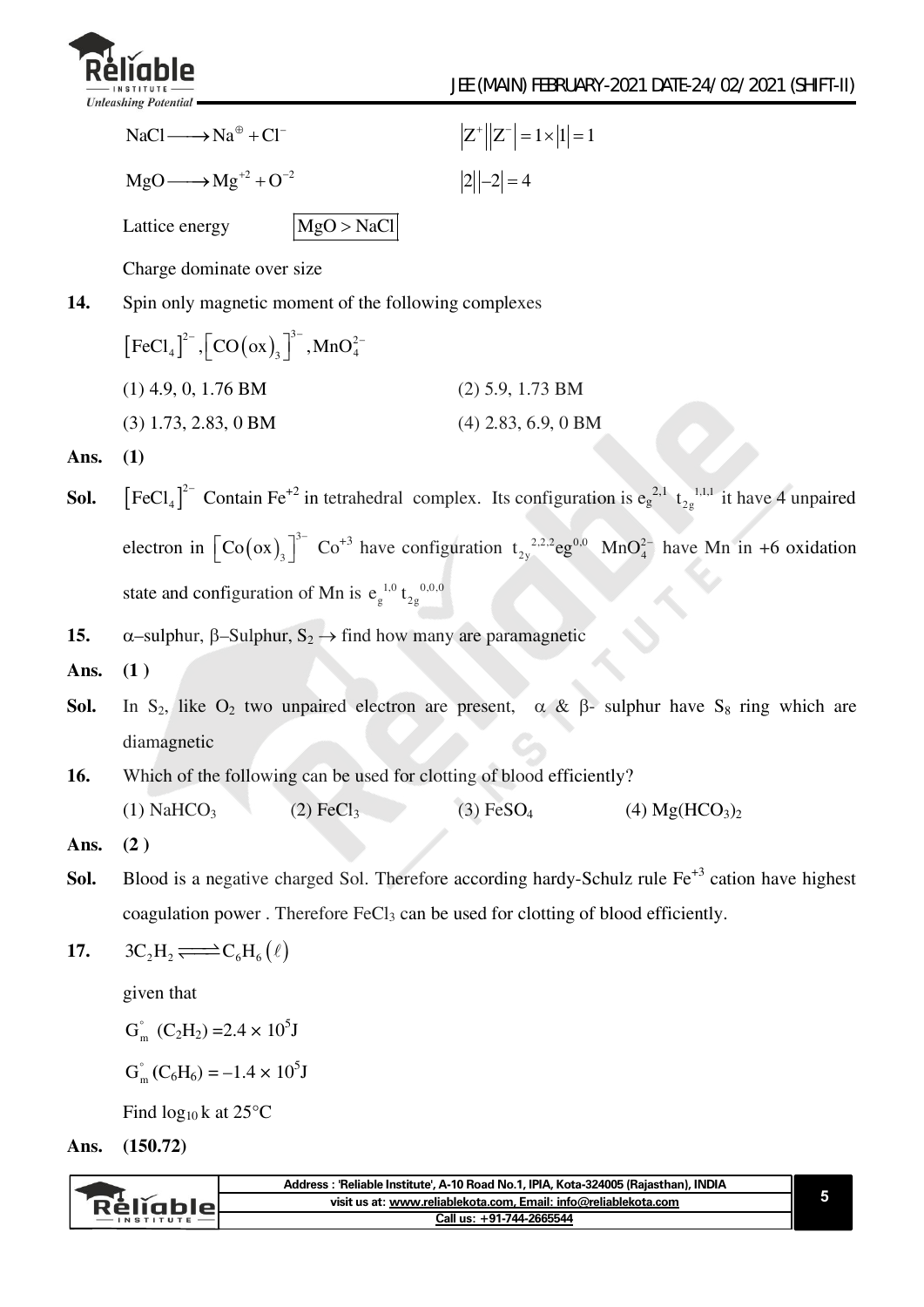

|      | $NaCl \longrightarrow Na^{\oplus} + Cl^{-}$                                                   | $ Z^*  Z^-  = 1 \times  1  = 1$                                                                                                                                                            |
|------|-----------------------------------------------------------------------------------------------|--------------------------------------------------------------------------------------------------------------------------------------------------------------------------------------------|
|      | $MgO \longrightarrow$ $Mg^{+2}$ + $O^{-2}$                                                    | $ 2  -2 =4$                                                                                                                                                                                |
|      | MgO > NaCl<br>Lattice energy                                                                  |                                                                                                                                                                                            |
|      | Charge dominate over size                                                                     |                                                                                                                                                                                            |
| 14.  | Spin only magnetic moment of the following complexes                                          |                                                                                                                                                                                            |
|      | $[FeCl4]2–, [CO (ox)3]3–, MnO42–$                                                             |                                                                                                                                                                                            |
|      | $(1)$ 4.9, 0, 1.76 BM                                                                         | $(2)$ 5.9, 1.73 BM                                                                                                                                                                         |
|      | $(3)$ 1.73, 2.83, 0 BM                                                                        | $(4)$ 2.83, 6.9, 0 BM                                                                                                                                                                      |
| Ans. | (1)                                                                                           |                                                                                                                                                                                            |
| Sol. |                                                                                               | $\left[ \text{FeCl}_4 \right]^{2}$ Contain Fe <sup>+2</sup> in tetrahedral complex. Its configuration is e <sub>g</sub> <sup>2,1</sup> t <sub>2g</sub> <sup>1,1,1</sup> it have 4 unpaired |
|      |                                                                                               | electron in $\left[\text{Co}(\text{ox})_3\right]^{3-}$ Co <sup>+3</sup> have configuration $t_{2y}^{2,2,2}$ eg <sup>0,0</sup> MnO <sub>4</sub> <sup>2</sup> have Mn in +6 oxidation        |
|      | state and configuration of Mn is $e_g^{1,0} t_{2g}^{0,0,0}$                                   |                                                                                                                                                                                            |
| 15.  | $\alpha$ -sulphur, $\beta$ -Sulphur, $S_2 \rightarrow$ find how many are paramagnetic         |                                                                                                                                                                                            |
| Ans. | (1)                                                                                           |                                                                                                                                                                                            |
| Sol. |                                                                                               | In S <sub>2</sub> , like O <sub>2</sub> two unpaired electron are present, $\alpha \& \beta$ - sulphur have S <sub>8</sub> ring which are                                                  |
|      | diamagnetic                                                                                   |                                                                                                                                                                                            |
| 16.  | Which of the following can be used for clotting of blood efficiently?                         |                                                                                                                                                                                            |
|      | (1) NaHCO <sub>3</sub> (2) FeCl <sub>3</sub>                                                  | $(3)$ FeSO <sub>4</sub><br>(4) $Mg(HCO3)2$                                                                                                                                                 |
| Ans. | (2)                                                                                           |                                                                                                                                                                                            |
| Sol. |                                                                                               | Blood is a negative charged Sol. Therefore according hardy-Schulz rule Fe <sup>+3</sup> cation have highest                                                                                |
|      | coagulation power. Therefore FeCl <sub>3</sub> can be used for clotting of blood efficiently. |                                                                                                                                                                                            |
| 17.  | $3C_2H_2 \longrightarrow C_6H_6(\ell)$                                                        |                                                                                                                                                                                            |
|      | given that                                                                                    |                                                                                                                                                                                            |
|      | $G_m^{\circ}$ (C <sub>2</sub> H <sub>2</sub> ) = 2.4 $\times$ 10 <sup>5</sup> J               |                                                                                                                                                                                            |
|      | $G_m^{\circ} (C_6H_6) = -1.4 \times 10^5 J$                                                   |                                                                                                                                                                                            |
|      | Find $log_{10} k$ at 25°C                                                                     |                                                                                                                                                                                            |

**Ans. (150.72)** 

|         | . INDIA<br>: 'Reliable Institute'. A-10 Road No.1. IPIA. Kota-324005 (Raiasthan). '<br>Address |  |
|---------|------------------------------------------------------------------------------------------------|--|
| кешарія | visit us at: www.reliablekota.com, Email: info@reliablekota.com                                |  |
|         | Call us: +91-744-2665544                                                                       |  |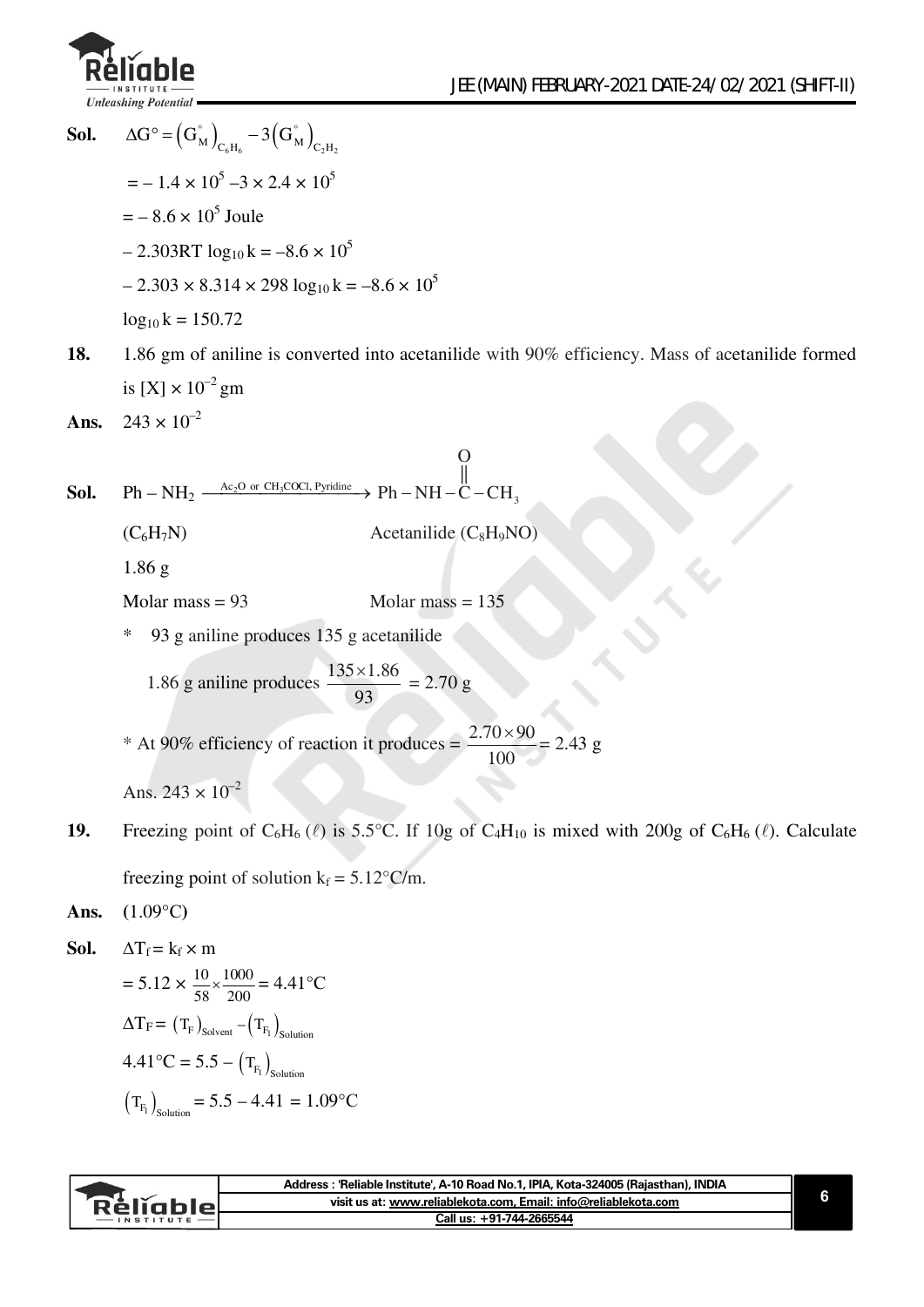

**Sol.**  $\Delta G^{\circ} = (G_M^{\circ})_{C_6H_6} - 3(G_M^{\circ})_{C_2H_2}$  $=-1.4 \times 10^5 - 3 \times 2.4 \times 10^5$  $=-8.6 \times 10^5$  Joule  $-2.303RT \log_{10} k = -8.6 \times 10^5$  $-2.303 \times 8.314 \times 298 \log_{10} k = -8.6 \times 10^5$  $log_{10} k = 150.72$ **18.** 1.86 gm of aniline is converted into acetanilide with 90% efficiency. Mass of acetanilide formed is  $[X] \times 10^{-2}$  gm **Ans.**  $243 \times 10^{-2}$ **Sol.**  $\rm \ \ Ph - NH_2 \xrightarrow{Ac_2O \ \ or \ \ CH_3COCl, \ \ Pyridine \ \ } \ \ Ph - NH - \ddot C - CH_3$ O ||  $Ph-NH-\ddot{C}-CH$  $(C_6H_7N)$  Acetanilide  $(C_8H_9NO)$ 1.86 g Molar mass  $= 93$  Molar mass  $= 135$ 93 g aniline produces 135 g acetanilide 1.86 g aniline produces  $\frac{135 \times 1.86}{22}$ 93  $\frac{\times 1.86}{\times 2.70 \text{ g}}$ \* At 90% efficiency of reaction it produces =  $\frac{2.70 \times 90}{1.00 \times 10^{-4}}$ 100  $\frac{\times 90}{2}$  = 2.43 g Ans.  $243 \times 10^{-2}$ **19.** Freezing point of  $C_6H_6(\ell)$  is 5.5°C. If 10g of  $C_4H_{10}$  is mixed with 200g of  $C_6H_6(\ell)$ . Calculate freezing point of solution  $k_f = 5.12$ °C/m. **Ans. (**1.09°C**) Sol.**  $\Delta T_f = k_f \times m$  $= 5.12 \times \frac{10}{58} \times \frac{1000}{200} = 4.41 \,^{\circ}\text{C}$  $\Delta \text{T}_\text{F}$  =  $(\text{T}_\text{F})_\text{Solvent}$  -  $(\text{T}_\text{F1})_\text{Solution}$  $4.41^{\circ}\text{C} = 5.5 - \left(\text{T}_{\text{F}_1}\right)_{\text{Solution}}$  $(T_{F_1})_{\text{Solution}} = 5.5 - 4.41 = 1.09$ °C

| visit us at: www.reliablekota.com. Email: info@reliablekota.com<br>Rèliablel | Address : 'Reliable Institute', A-10 Road No.1, IPIA, Kota-324005 (Raiasthan), INDIA |
|------------------------------------------------------------------------------|--------------------------------------------------------------------------------------|
|                                                                              |                                                                                      |
|                                                                              | Call us: +91-744-2665544                                                             |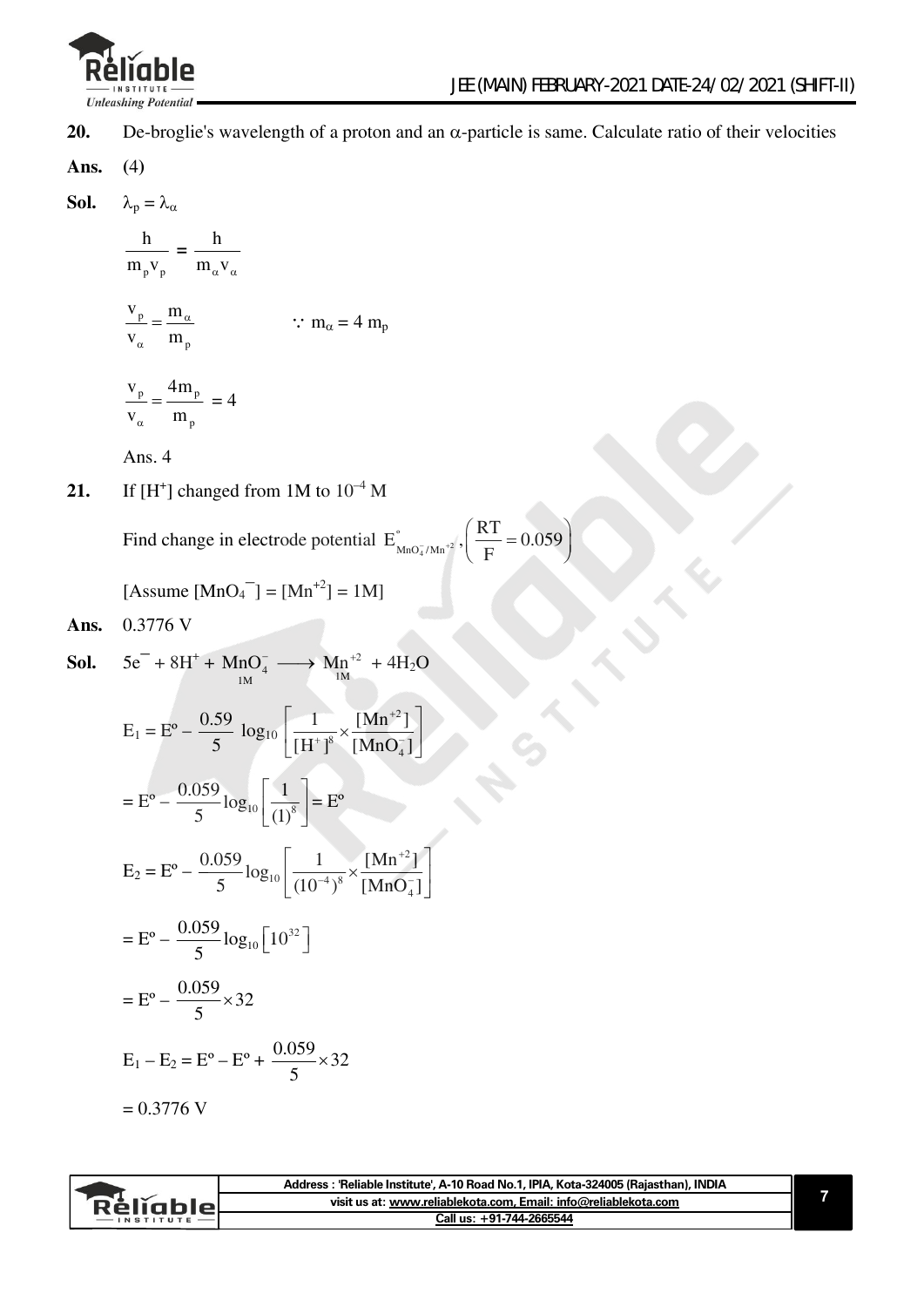

**20.** De-broglie's wavelength of a proton and an  $\alpha$ -particle is same. Calculate ratio of their velocities

Ans. 
$$
(4)
$$

$$
\text{Sol.} \qquad \lambda_{\rm p} = \lambda_{\alpha}
$$

$$
\frac{h}{m_{p}v_{p}} = \frac{h}{m_{\alpha}v_{\alpha}}
$$

$$
\frac{v_p}{v_\alpha} = \frac{m_\alpha}{m_p} \qquad \therefore m_\alpha = 4 \, m_p
$$

$$
\frac{v_p}{v_\alpha} = \frac{4m_p}{m_p} = 4
$$

Ans. 4

**21.** If  $[H^+]$  changed from 1M to  $10^{-4}$  M

Find change in electrode potential  $E_{MnO<sub>4</sub>/Mn<sup>+2</sup>}^{\circ}$ º  $E_{\text{MnO}_4^{\gamma}/\text{Mn}^{\pm 2}}^{*}, \left( \frac{\text{RT}}{\text{F}} = 0.059 \right)$ F  $\left(\frac{RT}{F} = 0.059\right)$ 

[Assume 
$$
[MnO_4^{\dagger}] = [Mn^{+2}] = 1M
$$
]

**Ans.** 0.3776 V

**Sol.** 
$$
5e^- + 8H^+ + MnO_4^- \longrightarrow Mn^{+2} + 4H_2O
$$

$$
E_1 = E^{\circ} - \frac{0.59}{5} \log_{10} \left[ \frac{1}{[H^+]^8} \times \frac{[Mn^{+2}]}{[MnO_4^-]} \right]
$$
  
\n
$$
= E^{\circ} - \frac{0.059}{5} \log_{10} \left[ \frac{1}{(1)^8} \right] = E^{\circ}
$$
  
\n
$$
E_2 = E^{\circ} - \frac{0.059}{5} \log_{10} \left[ \frac{1}{(10^{-4})^8} \times \frac{[Mn^{+2}]}{[MnO_4^-]} \right]
$$
  
\n
$$
= E^{\circ} - \frac{0.059}{5} \log_{10} \left[ 10^{32} \right]
$$
  
\n
$$
= E^{\circ} - \frac{0.059}{5} \times 32
$$
  
\n
$$
E_1 - E_2 = E^{\circ} - E^{\circ} + \frac{0.059}{5} \times 32
$$
  
\n
$$
= 0.3776 \text{ V}
$$

|                   | Address: 'Reliable Institute', A-10 Road No.1, IPIA, Kota-324005 (Rajasthan), INDIA |  |
|-------------------|-------------------------------------------------------------------------------------|--|
| Réliable          | visit us at: www.reliablekota.com, Email: info@reliablekota.com                     |  |
| $-$ INSTITUTE $-$ | Call us: +91-744-2665544                                                            |  |
|                   |                                                                                     |  |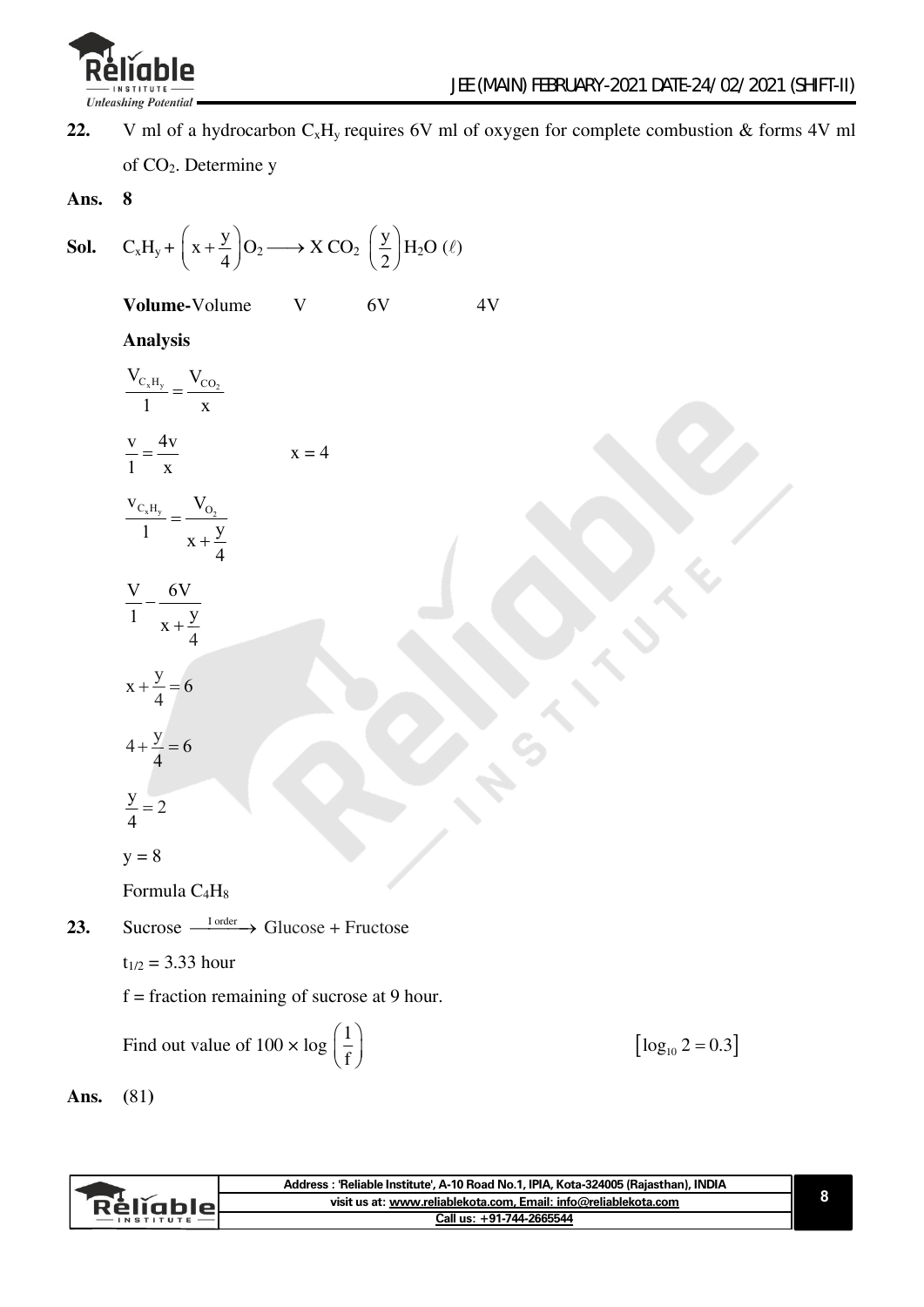

22. V ml of a hydrocarbon  $C_xH_y$  requires 6V ml of oxygen for complete combustion & forms 4V ml

of CO2. Determine y

**Ans. 8** 

**Sol.** 
$$
C_xH_y + \left(x + \frac{y}{4}\right)O_2 \longrightarrow X CO_2 \left(\frac{y}{2}\right)H_2O \left(\ell\right)
$$

**Volume-Volume V 6V 4V** 

$$
-41
$$

#### **Analysis**

| $\frac{V_{C_xH_y}}{1} = \frac{V_{CO_2}}{x}$            |         |
|--------------------------------------------------------|---------|
| $\frac{v}{1} = \frac{4v}{x}$                           | $x = 4$ |
| $rac{V_{C_xH_y}}{1} = \frac{V_{O_2}}{x + \frac{y}{4}}$ |         |
| $\frac{V}{1} - \frac{6V}{x + \frac{y}{4}}$             |         |
| $x + \frac{y}{4} = 6$                                  |         |
| $4 + \frac{y}{4} = 6$                                  |         |
| $\frac{y}{4} = 2$                                      |         |
| $y = 8$                                                |         |
| Formula C <sub>4</sub> H <sub>8</sub>                  |         |
|                                                        |         |

**23.** Sucrose  $\xrightarrow{\text{I order}}$  Glucose + Fructose

 $t_{1/2} = 3.33$  hour

 $f =$  fraction remaining of sucrose at 9 hour.

Find out value of  $100 \times \log \left( \frac{1}{2} \right)$ f

 $\left[\log_{10} 2 = 0.3\right]$ 

**Ans. (**81**)** 

|           | Address : 'Reliable Institute', A-10 Road No.1, IPIA, Kota-324005 (Rajasthan), INDIA |  |
|-----------|--------------------------------------------------------------------------------------|--|
| Réligble. | visit us at: www.reliablekota.com, Email: info@reliablekota.com                      |  |
|           | Call us: +91-744-2665544                                                             |  |